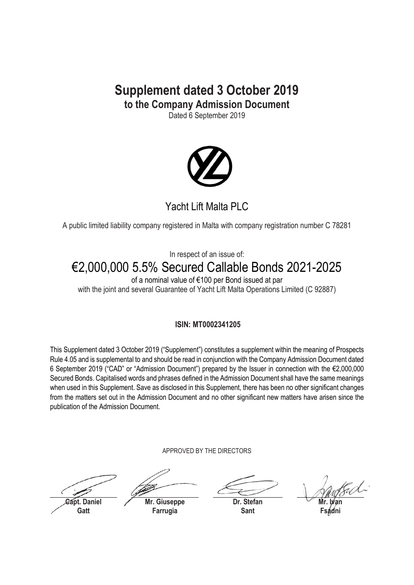## **Supplement dated 3 October 2019 to the Company Admission Document**

Dated 6 September 2019



## Yacht Lift Malta PLC

A public limited liability company registered in Malta with company registration number C 78281

In respect of an issue of:

# €2,000,000 5.5% Secured Callable Bonds 2021-2025

of a nominal value of €100 per Bond issued at par with the joint and several Guarantee of Yacht Lift Malta Operations Limited (C 92887)

## **ISIN: MT0002341205**

This Supplement dated 3 October 2019 ("Supplement") constitutes a supplement within the meaning of Prospects Rule 4.05 and is supplemental to and should be read in conjunction with the Company Admission Document dated 6 September 2019 ("CAD" or "Admission Document") prepared by the Issuer in connection with the €2,000,000 Secured Bonds. Capitalised words and phrases defined in the Admission Document shall have the same meanings when used in this Supplement. Save as disclosed in this Supplement, there has been no other significant changes from the matters set out in the Admission Document and no other significant new matters have arisen since the publication of the Admission Document.

APPROVED BY THE DIRECTORS

**Capt. Daniel Gatt**

**Mr. Giuseppe**

**Farrugia**

**Dr. Stefan Sant**

**Mr. Ivan Fsadni**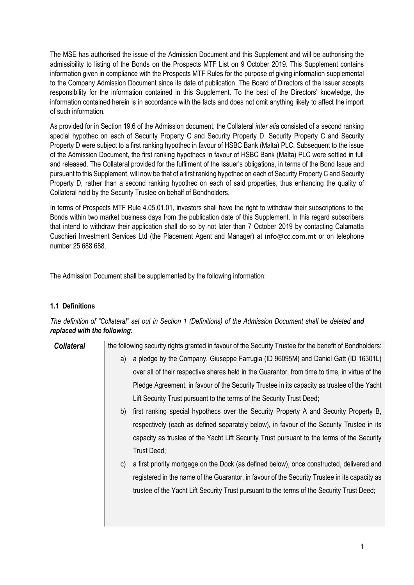The MSE has authorised the issue of the Admission Document and this Supplement and will be authorising the admissibility to listing of the Bonds on the Prospects MTF List on 9 October 2019. This Supplement contains information given in compliance with the Prospects MTF Rules for the purpose of giving information supplemental to the Company Admission Document since its date of publication. The Board of Directors of the Issuer accepts responsibility for the information contained in this Supplement. To the best of the Directors' knowledge, the information contained herein is in accordance with the facts and does not omit anything likely to affect the import of such information.

As provided for in Section 19.6 of the Admission document, the Collateral *inter alia* consisted of a second ranking special hypothec on each of Security Property C and Security Property D. Security Property C and Security Property D were subject to a first ranking hypothec in favour of HSBC Bank (Malta) PLC. Subsequent to the issue of the Admission Document, the first ranking hypothecs in favour of HSBC Bank (Malta) PLC were settled in full and released. The Collateral provided for the fulfilment of the Issuer's obligations, in terms of the Bond Issue and pursuant to this Supplement, will now be that of a first ranking hypothec on each of Security Property C and Security Property D, rather than a second ranking hypothec on each of said properties, thus enhancing the quality of Collateral held by the Security Trustee on behalf of Bondholders.

In terms of Prospects MTF Rule 4.05.01.01, investors shall have the right to withdraw their subscriptions to the Bonds within two market business days from the publication date of this Supplement. In this regard subscribers that intend to withdraw their application shall do so by not later than 7 October 2019 by contacting Calamatta Cuschieri Investment Services Ltd (the Placement Agent and Manager) at info@cc.com.mt or on telephone number 25 688 688.

The Admission Document shall be supplemented by the following information:

### **1.1 Definitions**

*The definition of "Collateral" set out in Section 1 (Definitions) of the Admission Document shall be deleted and replaced with the following:*

**Collateral** the following security rights granted in favour of the Security Trustee for the benefit of Bondholders:

- a) a pledge by the Company, Giuseppe Farrugia (ID 96095M) and Daniel Gatt (ID 16301L) over all of their respective shares held in the Guarantor, from time to time, in virtue of the Pledge Agreement, in favour of the Security Trustee in its capacity as trustee of the Yacht Lift Security Trust pursuant to the terms of the Security Trust Deed;
- b) first ranking special hypothecs over the Security Property A and Security Property B, respectively (each as defined separately below), in favour of the Security Trustee in its capacity as trustee of the Yacht Lift Security Trust pursuant to the terms of the Security Trust Deed;
- c) a first priority mortgage on the Dock (as defined below), once constructed, delivered and registered in the name of the Guarantor, in favour of the Security Trustee in its capacity as trustee of the Yacht Lift Security Trust pursuant to the terms of the Security Trust Deed;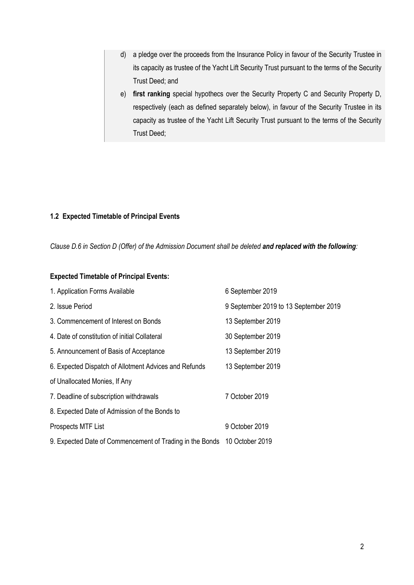- d) a pledge over the proceeds from the Insurance Policy in favour of the Security Trustee in its capacity as trustee of the Yacht Lift Security Trust pursuant to the terms of the Security Trust Deed; and
- e) **first ranking** special hypothecs over the Security Property C and Security Property D, respectively (each as defined separately below), in favour of the Security Trustee in its capacity as trustee of the Yacht Lift Security Trust pursuant to the terms of the Security Trust Deed;

#### **1.2 Expected Timetable of Principal Events**

*Clause D.6 in Section D (Offer) of the Admission Document shall be deleted and replaced with the following:*

#### **Expected Timetable of Principal Events:**

| 1. Application Forms Available                           | 6 September 2019                      |
|----------------------------------------------------------|---------------------------------------|
| 2. Issue Period                                          | 9 September 2019 to 13 September 2019 |
| 3. Commencement of Interest on Bonds                     | 13 September 2019                     |
| 4. Date of constitution of initial Collateral            | 30 September 2019                     |
| 5. Announcement of Basis of Acceptance                   | 13 September 2019                     |
| 6. Expected Dispatch of Allotment Advices and Refunds    | 13 September 2019                     |
| of Unallocated Monies, If Any                            |                                       |
| 7. Deadline of subscription withdrawals                  | 7 October 2019                        |
| 8. Expected Date of Admission of the Bonds to            |                                       |
| Prospects MTF List                                       | 9 October 2019                        |
| 9. Expected Date of Commencement of Trading in the Bonds | 10 October 2019                       |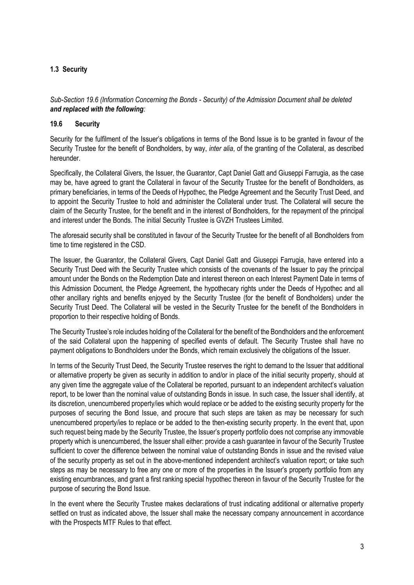### **1.3 Security**

*Sub-Section 19.6 (Information Concerning the Bonds - Security) of the Admission Document shall be deleted and replaced with the following:*

#### **19.6 Security**

Security for the fulfilment of the Issuer's obligations in terms of the Bond Issue is to be granted in favour of the Security Trustee for the benefit of Bondholders, by way, *inter alia*, of the granting of the Collateral, as described hereunder.

Specifically, the Collateral Givers, the Issuer, the Guarantor, Capt Daniel Gatt and Giuseppi Farrugia, as the case may be, have agreed to grant the Collateral in favour of the Security Trustee for the benefit of Bondholders, as primary beneficiaries, in terms of the Deeds of Hypothec, the Pledge Agreement and the Security Trust Deed, and to appoint the Security Trustee to hold and administer the Collateral under trust. The Collateral will secure the claim of the Security Trustee, for the benefit and in the interest of Bondholders, for the repayment of the principal and interest under the Bonds. The initial Security Trustee is GVZH Trustees Limited.

The aforesaid security shall be constituted in favour of the Security Trustee for the benefit of all Bondholders from time to time registered in the CSD.

The Issuer, the Guarantor, the Collateral Givers, Capt Daniel Gatt and Giuseppi Farrugia, have entered into a Security Trust Deed with the Security Trustee which consists of the covenants of the Issuer to pay the principal amount under the Bonds on the Redemption Date and interest thereon on each Interest Payment Date in terms of this Admission Document, the Pledge Agreement, the hypothecary rights under the Deeds of Hypothec and all other ancillary rights and benefits enjoyed by the Security Trustee (for the benefit of Bondholders) under the Security Trust Deed. The Collateral will be vested in the Security Trustee for the benefit of the Bondholders in proportion to their respective holding of Bonds.

The Security Trustee's role includes holding of the Collateral for the benefit of the Bondholders and the enforcement of the said Collateral upon the happening of specified events of default. The Security Trustee shall have no payment obligations to Bondholders under the Bonds, which remain exclusively the obligations of the Issuer.

In terms of the Security Trust Deed, the Security Trustee reserves the right to demand to the Issuer that additional or alternative property be given as security in addition to and/or in place of the initial security property, should at any given time the aggregate value of the Collateral be reported, pursuant to an independent architect's valuation report, to be lower than the nominal value of outstanding Bonds in issue. In such case, the Issuer shall identify, at its discretion, unencumbered property/ies which would replace or be added to the existing security property for the purposes of securing the Bond Issue, and procure that such steps are taken as may be necessary for such unencumbered property/ies to replace or be added to the then-existing security property. In the event that, upon such request being made by the Security Trustee, the Issuer's property portfolio does not comprise any immovable property which is unencumbered, the Issuer shall either: provide a cash guarantee in favour of the Security Trustee sufficient to cover the difference between the nominal value of outstanding Bonds in issue and the revised value of the security property as set out in the above-mentioned independent architect's valuation report; or take such steps as may be necessary to free any one or more of the properties in the Issuer's property portfolio from any existing encumbrances, and grant a first ranking special hypothec thereon in favour of the Security Trustee for the purpose of securing the Bond Issue.

In the event where the Security Trustee makes declarations of trust indicating additional or alternative property settled on trust as indicated above, the Issuer shall make the necessary company announcement in accordance with the Prospects MTF Rules to that effect.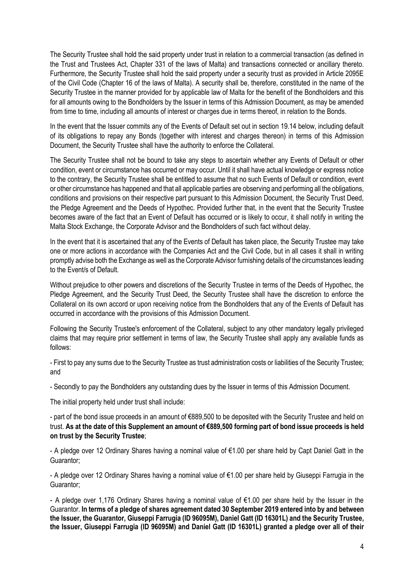The Security Trustee shall hold the said property under trust in relation to a commercial transaction (as defined in the Trust and Trustees Act, Chapter 331 of the laws of Malta) and transactions connected or ancillary thereto. Furthermore, the Security Trustee shall hold the said property under a security trust as provided in Article 2095E of the Civil Code (Chapter 16 of the laws of Malta). A security shall be, therefore, constituted in the name of the Security Trustee in the manner provided for by applicable law of Malta for the benefit of the Bondholders and this for all amounts owing to the Bondholders by the Issuer in terms of this Admission Document, as may be amended from time to time, including all amounts of interest or charges due in terms thereof, in relation to the Bonds.

In the event that the Issuer commits any of the Events of Default set out in section 19.14 below, including default of its obligations to repay any Bonds (together with interest and charges thereon) in terms of this Admission Document, the Security Trustee shall have the authority to enforce the Collateral.

The Security Trustee shall not be bound to take any steps to ascertain whether any Events of Default or other condition, event or circumstance has occurred or may occur. Until it shall have actual knowledge or express notice to the contrary, the Security Trustee shall be entitled to assume that no such Events of Default or condition, event or other circumstance has happened and that all applicable parties are observing and performing all the obligations, conditions and provisions on their respective part pursuant to this Admission Document, the Security Trust Deed, the Pledge Agreement and the Deeds of Hypothec. Provided further that, in the event that the Security Trustee becomes aware of the fact that an Event of Default has occurred or is likely to occur, it shall notify in writing the Malta Stock Exchange, the Corporate Advisor and the Bondholders of such fact without delay.

In the event that it is ascertained that any of the Events of Default has taken place, the Security Trustee may take one or more actions in accordance with the Companies Act and the Civil Code, but in all cases it shall in writing promptly advise both the Exchange as well as the Corporate Advisor furnishing details of the circumstances leading to the Event/s of Default.

Without prejudice to other powers and discretions of the Security Trustee in terms of the Deeds of Hypothec, the Pledge Agreement, and the Security Trust Deed, the Security Trustee shall have the discretion to enforce the Collateral on its own accord or upon receiving notice from the Bondholders that any of the Events of Default has occurred in accordance with the provisions of this Admission Document.

Following the Security Trustee's enforcement of the Collateral, subject to any other mandatory legally privileged claims that may require prior settlement in terms of law, the Security Trustee shall apply any available funds as follows:

- First to pay any sums due to the Security Trustee as trust administration costs or liabilities of the Security Trustee; and

- Secondly to pay the Bondholders any outstanding dues by the Issuer in terms of this Admission Document.

The initial property held under trust shall include:

- part of the bond issue proceeds in an amount of €889,500 to be deposited with the Security Trustee and held on trust. **As at the date of this Supplement an amount of €889,500 forming part of bond issue proceeds is held on trust by the Security Trustee**;

- A pledge over 12 Ordinary Shares having a nominal value of €1.00 per share held by Capt Daniel Gatt in the Guarantor;

- A pledge over 12 Ordinary Shares having a nominal value of €1.00 per share held by Giuseppi Farrugia in the Guarantor;

- A pledge over 1,176 Ordinary Shares having a nominal value of €1.00 per share held by the Issuer in the Guarantor. **In terms of a pledge of shares agreement dated 30 September 2019 entered into by and between the Issuer, the Guarantor, Giuseppi Farrugia (ID 96095M), Daniel Gatt (ID 16301L) and the Security Trustee, the Issuer, Giuseppi Farrugia (ID 96095M) and Daniel Gatt (ID 16301L) granted a pledge over all of their**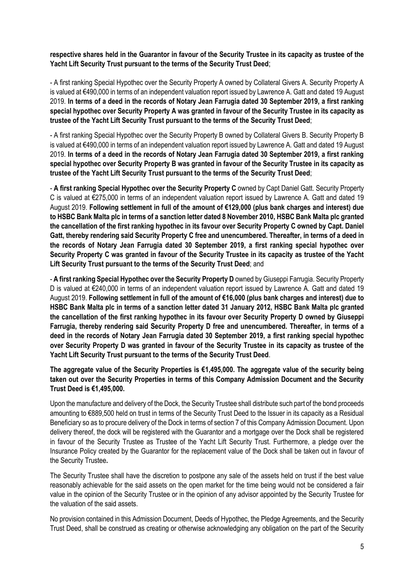**respective shares held in the Guarantor in favour of the Security Trustee in its capacity as trustee of the Yacht Lift Security Trust pursuant to the terms of the Security Trust Deed**;

- A first ranking Special Hypothec over the Security Property A owned by Collateral Givers A. Security Property A is valued at €490,000 in terms of an independent valuation report issued by Lawrence A. Gatt and dated 19 August 2019. **In terms of a deed in the records of Notary Jean Farrugia dated 30 September 2019, a first ranking special hypothec over Security Property A was granted in favour of the Security Trustee in its capacity as trustee of the Yacht Lift Security Trust pursuant to the terms of the Security Trust Deed**;

- A first ranking Special Hypothec over the Security Property B owned by Collateral Givers B. Security Property B is valued at €490,000 in terms of an independent valuation report issued by Lawrence A. Gatt and dated 19 August 2019. **In terms of a deed in the records of Notary Jean Farrugia dated 30 September 2019, a first ranking special hypothec over Security Property B was granted in favour of the Security Trustee in its capacity as trustee of the Yacht Lift Security Trust pursuant to the terms of the Security Trust Deed**;

- **A first ranking Special Hypothec over the Security Property C** owned by Capt Daniel Gatt. Security Property C is valued at €275,000 in terms of an independent valuation report issued by Lawrence A. Gatt and dated 19 August 2019. **Following settlement in full of the amount of €129,000 (plus bank charges and interest) due to HSBC Bank Malta plc in terms of a sanction letter dated 8 November 2010, HSBC Bank Malta plc granted the cancellation of the first ranking hypothec in its favour over Security Property C owned by Capt. Daniel Gatt, thereby rendering said Security Property C free and unencumbered. Thereafter, in terms of a deed in the records of Notary Jean Farrugia dated 30 September 2019, a first ranking special hypothec over Security Property C was granted in favour of the Security Trustee in its capacity as trustee of the Yacht Lift Security Trust pursuant to the terms of the Security Trust Deed**; and

- **A first ranking Special Hypothec over the Security Property D** owned by Giuseppi Farrugia. Security Property D is valued at €240,000 in terms of an independent valuation report issued by Lawrence A. Gatt and dated 19 August 2019. **Following settlement in full of the amount of €16,000 (plus bank charges and interest) due to HSBC Bank Malta plc in terms of a sanction letter dated 31 January 2012, HSBC Bank Malta plc granted the cancellation of the first ranking hypothec in its favour over Security Property D owned by Giuseppi Farrugia, thereby rendering said Security Property D free and unencumbered. Thereafter, in terms of a deed in the records of Notary Jean Farrugia dated 30 September 2019, a first ranking special hypothec over Security Property D was granted in favour of the Security Trustee in its capacity as trustee of the Yacht Lift Security Trust pursuant to the terms of the Security Trust Deed**.

**The aggregate value of the Security Properties is €1,495,000. The aggregate value of the security being taken out over the Security Properties in terms of this Company Admission Document and the Security Trust Deed is €1,495,000.** 

Upon the manufacture and delivery of the Dock, the Security Trustee shall distribute such part of the bond proceeds amounting to €889,500 held on trust in terms of the Security Trust Deed to the Issuer in its capacity as a Residual Beneficiary so as to procure delivery of the Dock in terms of section 7 of this Company Admission Document. Upon delivery thereof, the dock will be registered with the Guarantor and a mortgage over the Dock shall be registered in favour of the Security Trustee as Trustee of the Yacht Lift Security Trust. Furthermore, a pledge over the Insurance Policy created by the Guarantor for the replacement value of the Dock shall be taken out in favour of the Security Trustee**.** 

The Security Trustee shall have the discretion to postpone any sale of the assets held on trust if the best value reasonably achievable for the said assets on the open market for the time being would not be considered a fair value in the opinion of the Security Trustee or in the opinion of any advisor appointed by the Security Trustee for the valuation of the said assets.

No provision contained in this Admission Document, Deeds of Hypothec, the Pledge Agreements, and the Security Trust Deed, shall be construed as creating or otherwise acknowledging any obligation on the part of the Security